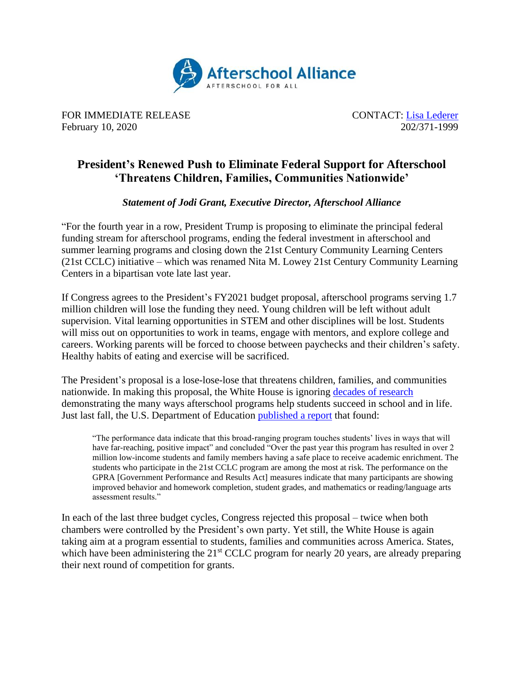

FOR IMMEDIATE RELEASE CONTACT: [Lisa](mailto:lisa@prsolutionsdc.com?subject=2020%20Budget%20for%2021st%20CCLC) Lederer February 10, 2020 202/371-1999

## **President's Renewed Push to Eliminate Federal Support for Afterschool 'Threatens Children, Families, Communities Nationwide'**

*Statement of Jodi Grant, Executive Director, Afterschool Alliance*

"For the fourth year in a row, President Trump is proposing to eliminate the principal federal funding stream for afterschool programs, ending the federal investment in afterschool and summer learning programs and closing down the 21st Century Community Learning Centers (21st CCLC) initiative – which was renamed Nita M. Lowey 21st Century Community Learning Centers in a bipartisan vote late last year.

If Congress agrees to the President's FY2021 budget proposal, afterschool programs serving 1.7 million children will lose the funding they need. Young children will be left without adult supervision. Vital learning opportunities in STEM and other disciplines will be lost. Students will miss out on opportunities to work in teams, engage with mentors, and explore college and careers. Working parents will be forced to choose between paychecks and their children's safety. Healthy habits of eating and exercise will be sacrificed.

The President's proposal is a lose-lose-lose that threatens children, families, and communities nationwide. In making this proposal, the White House is ignoring [decades of research](http://www.afterschoolalliance.org/research.cfm) demonstrating the many ways afterschool programs help students succeed in school and in life. Just last fall, the U.S. Department of Education [published a report](https://oese.ed.gov/files/2020/01/FINAL_21st-cclc-gpra-sy17-18_8.13.2019.pdf) that found:

"The performance data indicate that this broad-ranging program touches students' lives in ways that will have far-reaching, positive impact" and concluded "Over the past year this program has resulted in over 2 million low-income students and family members having a safe place to receive academic enrichment. The students who participate in the 21st CCLC program are among the most at risk. The performance on the GPRA [Government Performance and Results Act] measures indicate that many participants are showing improved behavior and homework completion, student grades, and mathematics or reading/language arts assessment results."

In each of the last three budget cycles, Congress rejected this proposal – twice when both chambers were controlled by the President's own party. Yet still, the White House is again taking aim at a program essential to students, families and communities across America. States, which have been administering the 21<sup>st</sup> CCLC program for nearly 20 years, are already preparing their next round of competition for grants.